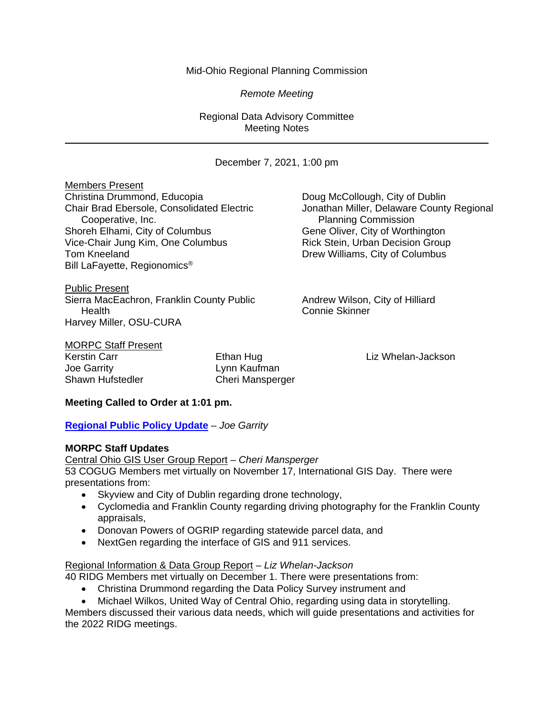## Mid-Ohio Regional Planning Commission

*Remote Meeting*

Regional Data Advisory Committee Meeting Notes

December 7, 2021, 1:00 pm

Members Present Christina Drummond, Educopia **Doug McCollough, City of Dublin**<br>Chair Brad Ebersole, Consolidated Electric Jonathan Miller, Delaware County Cooperative, Inc.<br>
Flanning Commission Planning Commission<br>
Gene Oliver, City of Worthington Shoreh Elhami, City of Columbus Vice-Chair Jung Kim, One Columbus **Rick Stein, Urban Decision Group** Tom Kneeland **Drew Williams**, City of Columbus Bill LaFayette, Regionomics®

Public Present Sierra MacEachron, Franklin County Public Andrew Wilson, City of Hilliard Health Connie Skinner Harvey Miller, OSU-CURA

Jonathan Miller, Delaware County Regional

MORPC Staff Present

Joe Garrity<br>
Shawn Hufstedler<br>
Cheri Manspero

Cheri Mansperger

Kerstin Carr **Ethan Hug Liz Whelan-Jackson** Ethan Hug Liz Whelan-Jackson

# **Meeting Called to Order at 1:01 pm.**

**[Regional Public Policy Update](https://morpc1-my.sharepoint.com/:v:/g/personal/lkaufman_morpc_org/EVYvPQIjFDhGtQiVbvvI7fABkpwx1ul0yTvn5sYRop0G8A?e=J5akCd)** *– Joe Garrity*

## **MORPC Staff Updates**

Central Ohio GIS User Group Report *– Cheri Mansperger* 53 COGUG Members met virtually on November 17, International GIS Day. There were presentations from:

- Skyview and City of Dublin regarding drone technology,
- Cyclomedia and Franklin County regarding driving photography for the Franklin County appraisals,
- Donovan Powers of OGRIP regarding statewide parcel data, and
- NextGen regarding the interface of GIS and 911 services.

# Regional Information & Data Group Report *– Liz Whelan-Jackson*

40 RIDG Members met virtually on December 1. There were presentations from:

- Christina Drummond regarding the Data Policy Survey instrument and
- Michael Wilkos, United Way of Central Ohio, regarding using data in storytelling.

Members discussed their various data needs, which will guide presentations and activities for the 2022 RIDG meetings.